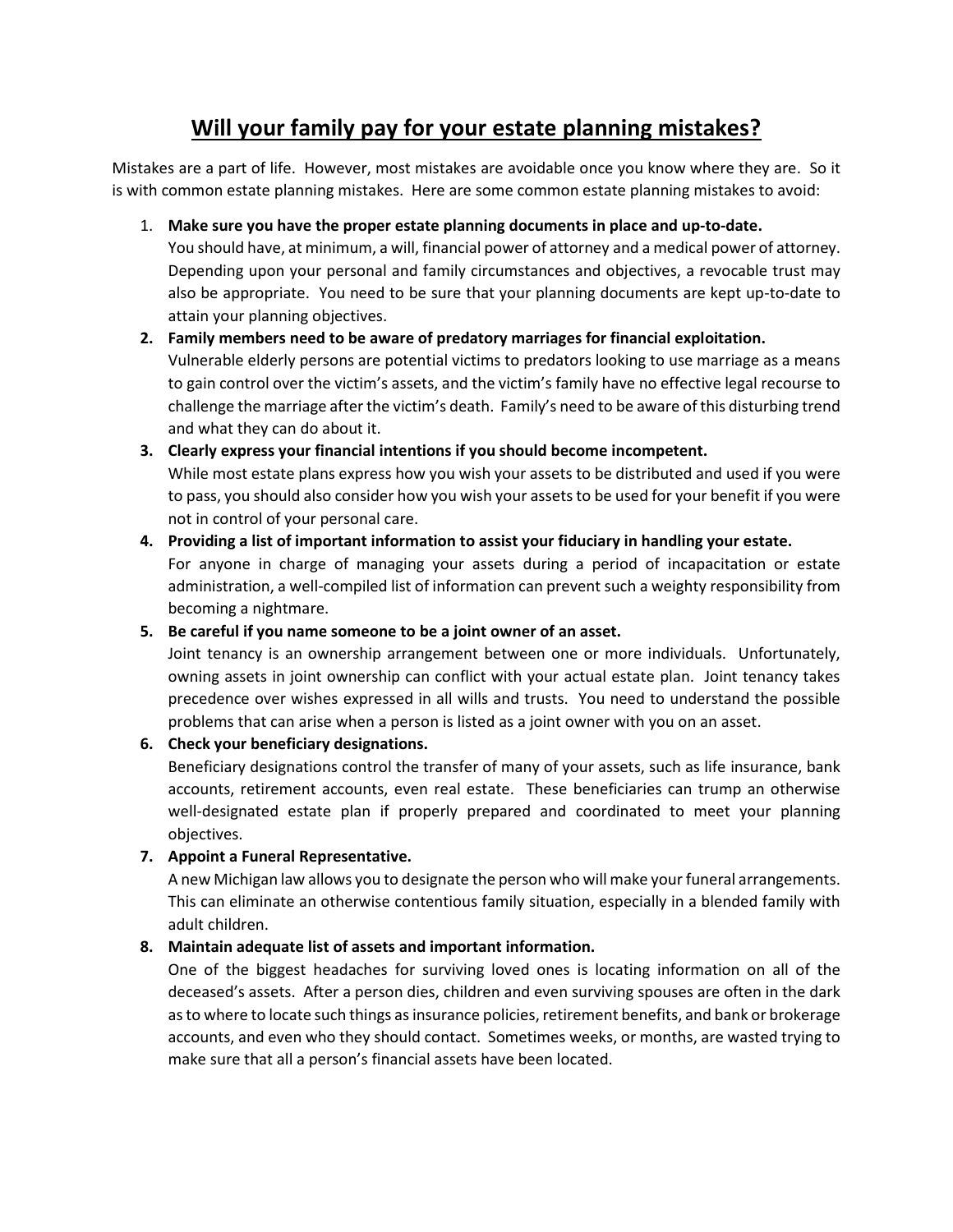# **Will your family pay for your estate planning mistakes?**

Mistakes are a part of life. However, most mistakes are avoidable once you know where they are. So it is with common estate planning mistakes. Here are some common estate planning mistakes to avoid:

1. **Make sure you have the proper estate planning documents in place and up-to-date.**

You should have, at minimum, a will, financial power of attorney and a medical power of attorney. Depending upon your personal and family circumstances and objectives, a revocable trust may also be appropriate. You need to be sure that your planning documents are kept up-to-date to attain your planning objectives.

# **2. Family members need to be aware of predatory marriages for financial exploitation.**

Vulnerable elderly persons are potential victims to predators looking to use marriage as a means to gain control over the victim's assets, and the victim's family have no effective legal recourse to challenge the marriage after the victim's death. Family's need to be aware of this disturbing trend and what they can do about it.

# **3. Clearly express your financial intentions if you should become incompetent.**

While most estate plans express how you wish your assets to be distributed and used if you were to pass, you should also consider how you wish your assets to be used for your benefit if you were not in control of your personal care.

# **4. Providing a list of important information to assist your fiduciary in handling your estate.**

For anyone in charge of managing your assets during a period of incapacitation or estate administration, a well-compiled list of information can prevent such a weighty responsibility from becoming a nightmare.

**5. Be careful if you name someone to be a joint owner of an asset.**

Joint tenancy is an ownership arrangement between one or more individuals. Unfortunately, owning assets in joint ownership can conflict with your actual estate plan. Joint tenancy takes precedence over wishes expressed in all wills and trusts. You need to understand the possible problems that can arise when a person is listed as a joint owner with you on an asset.

# **6. Check your beneficiary designations.**

Beneficiary designations control the transfer of many of your assets, such as life insurance, bank accounts, retirement accounts, even real estate. These beneficiaries can trump an otherwise well-designated estate plan if properly prepared and coordinated to meet your planning objectives.

# **7. Appoint a Funeral Representative.**

A new Michigan law allows you to designate the person who will make your funeral arrangements. This can eliminate an otherwise contentious family situation, especially in a blended family with adult children.

# **8. Maintain adequate list of assets and important information.**

One of the biggest headaches for surviving loved ones is locating information on all of the deceased's assets. After a person dies, children and even surviving spouses are often in the dark as to where to locate such things as insurance policies, retirement benefits, and bank or brokerage accounts, and even who they should contact. Sometimes weeks, or months, are wasted trying to make sure that all a person's financial assets have been located.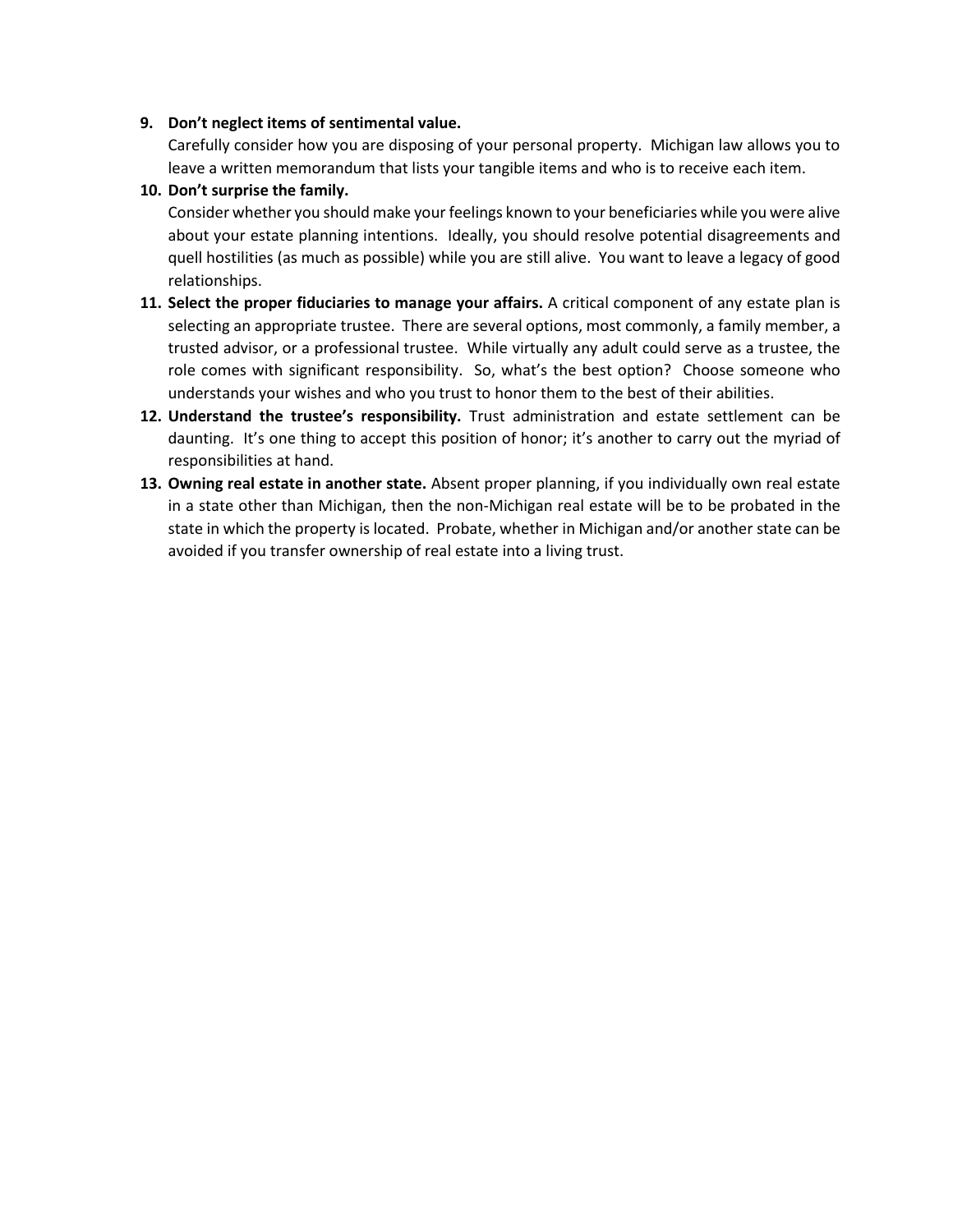#### **9. Don't neglect items of sentimental value.**

Carefully consider how you are disposing of your personal property. Michigan law allows you to leave a written memorandum that lists your tangible items and who is to receive each item.

#### **10. Don't surprise the family.**

Consider whether you should make your feelings known to your beneficiaries while you were alive about your estate planning intentions. Ideally, you should resolve potential disagreements and quell hostilities (as much as possible) while you are still alive. You want to leave a legacy of good relationships.

- **11. Select the proper fiduciaries to manage your affairs.** A critical component of any estate plan is selecting an appropriate trustee. There are several options, most commonly, a family member, a trusted advisor, or a professional trustee. While virtually any adult could serve as a trustee, the role comes with significant responsibility. So, what's the best option? Choose someone who understands your wishes and who you trust to honor them to the best of their abilities.
- **12. Understand the trustee's responsibility.** Trust administration and estate settlement can be daunting. It's one thing to accept this position of honor; it's another to carry out the myriad of responsibilities at hand.
- **13. Owning real estate in another state.** Absent proper planning, if you individually own real estate in a state other than Michigan, then the non-Michigan real estate will be to be probated in the state in which the property is located. Probate, whether in Michigan and/or another state can be avoided if you transfer ownership of real estate into a living trust.